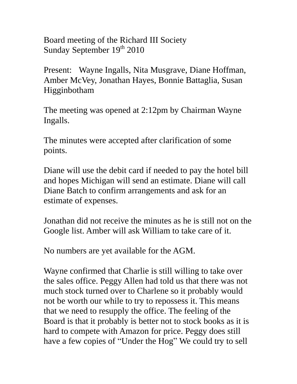Board meeting of the Richard III Society Sunday September 19th 2010

Present: Wayne Ingalls, Nita Musgrave, Diane Hoffman, Amber McVey, Jonathan Hayes, Bonnie Battaglia, Susan Higginbotham

The meeting was opened at 2:12pm by Chairman Wayne Ingalls.

The minutes were accepted after clarification of some points.

Diane will use the debit card if needed to pay the hotel bill and hopes Michigan will send an estimate. Diane will call Diane Batch to confirm arrangements and ask for an estimate of expenses.

Jonathan did not receive the minutes as he is still not on the Google list. Amber will ask William to take care of it.

No numbers are yet available for the AGM.

Wayne confirmed that Charlie is still willing to take over the sales office. Peggy Allen had told us that there was not much stock turned over to Charlene so it probably would not be worth our while to try to repossess it. This means that we need to resupply the office. The feeling of the Board is that it probably is better not to stock books as it is hard to compete with Amazon for price. Peggy does still have a few copies of "Under the Hog" We could try to sell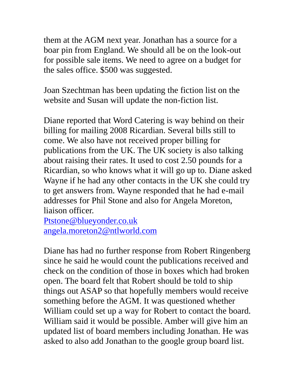them at the AGM next year. Jonathan has a source for a boar pin from England. We should all be on the look-out for possible sale items. We need to agree on a budget for the sales office. \$500 was suggested.

Joan Szechtman has been updating the fiction list on the website and Susan will update the non-fiction list.

Diane reported that Word Catering is way behind on their billing for mailing 2008 Ricardian. Several bills still to come. We also have not received proper billing for publications from the UK. The UK society is also talking about raising their rates. It used to cost 2.50 pounds for a Ricardian, so who knows what it will go up to. Diane asked Wayne if he had any other contacts in the UK she could try to get answers from. Wayne responded that he had e-mail addresses for Phil Stone and also for Angela Moreton, liaison officer.

[Ptstone@blueyonder.co.uk](mailto:Ptstone@blueyonder.co.uk)  [angela.moreton2@ntlworld.com](mailto:angela.moreton2@ntlworld.com)

Diane has had no further response from Robert Ringenberg since he said he would count the publications received and check on the condition of those in boxes which had broken open. The board felt that Robert should be told to ship things out ASAP so that hopefully members would receive something before the AGM. It was questioned whether William could set up a way for Robert to contact the board. William said it would be possible. Amber will give him an updated list of board members including Jonathan. He was asked to also add Jonathan to the google group board list.